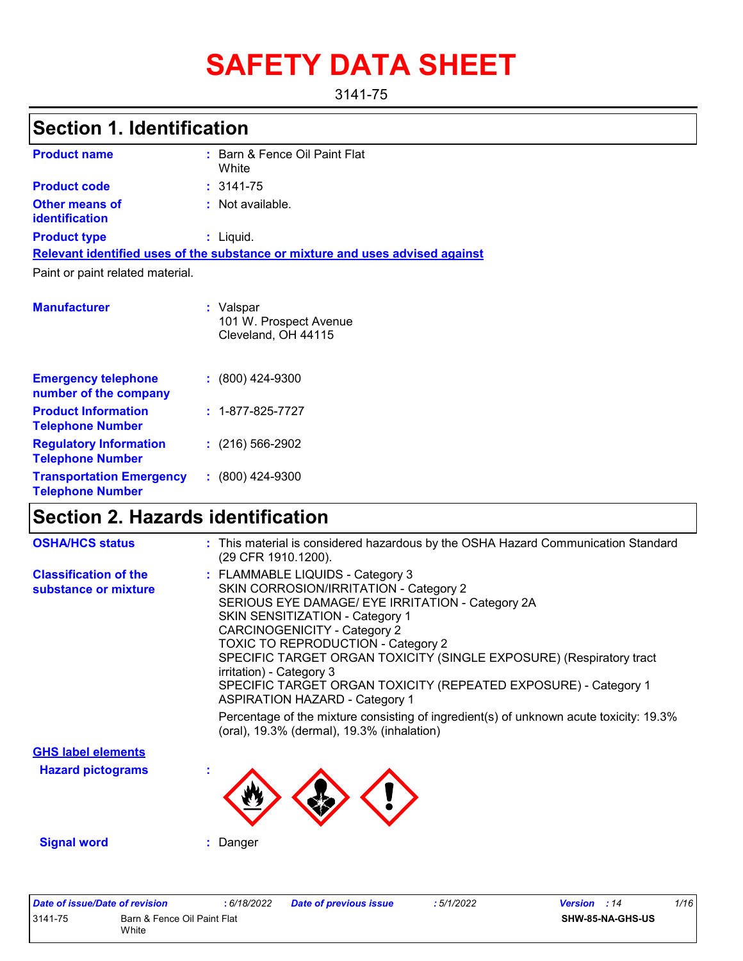# **SAFETY DATA SHEET**

#### 3141-75

### **Section 1. Identification**

| <b>Product name</b>                            | : Barn & Fence Oil Paint Flat<br>White                                        |
|------------------------------------------------|-------------------------------------------------------------------------------|
| <b>Product code</b>                            | $: 3141 - 75$                                                                 |
| <b>Other means of</b><br><b>identification</b> | : Not available.                                                              |
| <b>Product type</b>                            | $:$ Liquid.                                                                   |
|                                                | Relevant identified uses of the substance or mixture and uses advised against |
| Paint or paint related material.               |                                                                               |
| <b>Manufacturer</b>                            | : Valspar<br>101 W. Prospect Avenue                                           |

Cleveland, OH 44115

| <b>Emergency telephone</b><br>number of the company        | $: (800)$ 424-9300       |
|------------------------------------------------------------|--------------------------|
| <b>Product Information</b><br><b>Telephone Number</b>      | $: 1 - 877 - 825 - 7727$ |
| <b>Regulatory Information</b><br><b>Telephone Number</b>   | $: (216) 566 - 2902$     |
| <b>Transportation Emergency</b><br><b>Telephone Number</b> | $: (800)$ 424-9300       |

### **Section 2. Hazards identification**

| <b>OSHA/HCS status</b>                               | : This material is considered hazardous by the OSHA Hazard Communication Standard<br>(29 CFR 1910.1200).                                                                                                                                                                                                                                                                                                                                                             |
|------------------------------------------------------|----------------------------------------------------------------------------------------------------------------------------------------------------------------------------------------------------------------------------------------------------------------------------------------------------------------------------------------------------------------------------------------------------------------------------------------------------------------------|
| <b>Classification of the</b><br>substance or mixture | : FLAMMABLE LIQUIDS - Category 3<br>SKIN CORROSION/IRRITATION - Category 2<br>SERIOUS EYE DAMAGE/ EYE IRRITATION - Category 2A<br><b>SKIN SENSITIZATION - Category 1</b><br><b>CARCINOGENICITY - Category 2</b><br>TOXIC TO REPRODUCTION - Category 2<br>SPECIFIC TARGET ORGAN TOXICITY (SINGLE EXPOSURE) (Respiratory tract<br>irritation) - Category 3<br>SPECIFIC TARGET ORGAN TOXICITY (REPEATED EXPOSURE) - Category 1<br><b>ASPIRATION HAZARD - Category 1</b> |
|                                                      | Percentage of the mixture consisting of ingredient(s) of unknown acute toxicity: 19.3%<br>(oral), 19.3% (dermal), 19.3% (inhalation)                                                                                                                                                                                                                                                                                                                                 |
| <b>GHS label elements</b>                            |                                                                                                                                                                                                                                                                                                                                                                                                                                                                      |
| <b>Hazard pictograms</b>                             |                                                                                                                                                                                                                                                                                                                                                                                                                                                                      |
| <b>Signal word</b>                                   | : Danger                                                                                                                                                                                                                                                                                                                                                                                                                                                             |

| Date of issue/Date of revision |                                      | 6/18/2022 | <b>Date of previous issue</b> | : 5/1/2022 | <b>Version</b> : 14 |                  | 1/16 |
|--------------------------------|--------------------------------------|-----------|-------------------------------|------------|---------------------|------------------|------|
| 3141-75                        | Barn & Fence Oil Paint Flat<br>White |           |                               |            |                     | SHW-85-NA-GHS-US |      |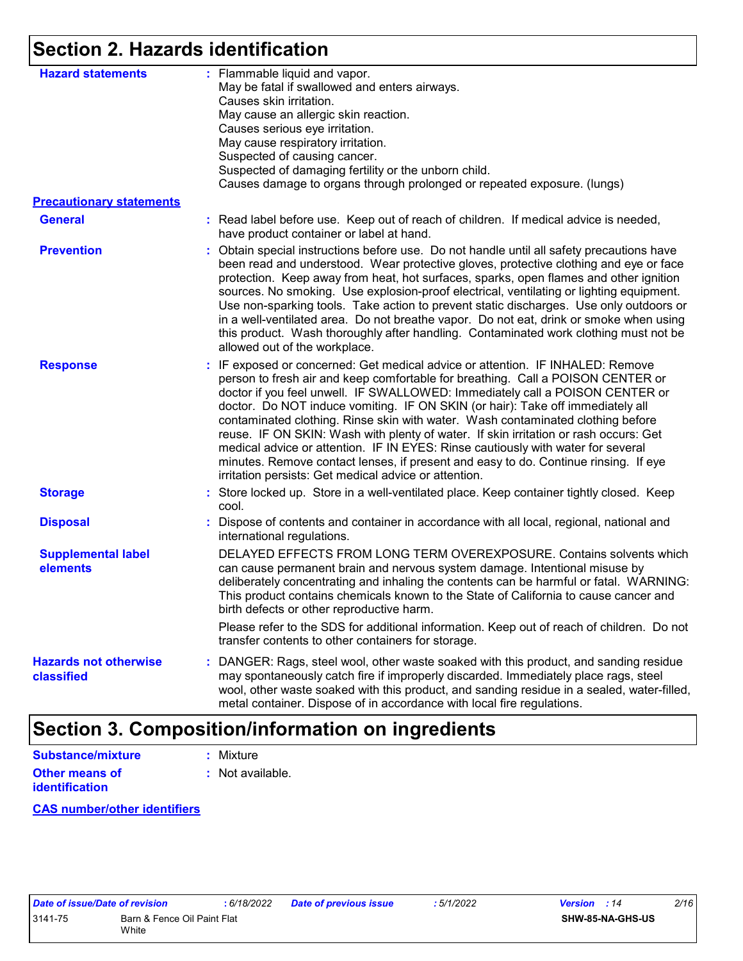### **Section 2. Hazards identification**

| <b>Hazard statements</b>                   | : Flammable liquid and vapor.<br>May be fatal if swallowed and enters airways.<br>Causes skin irritation.<br>May cause an allergic skin reaction.<br>Causes serious eye irritation.<br>May cause respiratory irritation.<br>Suspected of causing cancer.<br>Suspected of damaging fertility or the unborn child.<br>Causes damage to organs through prolonged or repeated exposure. (lungs)                                                                                                                                                                                                                                                                                                                                                        |
|--------------------------------------------|----------------------------------------------------------------------------------------------------------------------------------------------------------------------------------------------------------------------------------------------------------------------------------------------------------------------------------------------------------------------------------------------------------------------------------------------------------------------------------------------------------------------------------------------------------------------------------------------------------------------------------------------------------------------------------------------------------------------------------------------------|
| <b>Precautionary statements</b>            |                                                                                                                                                                                                                                                                                                                                                                                                                                                                                                                                                                                                                                                                                                                                                    |
| <b>General</b>                             | : Read label before use. Keep out of reach of children. If medical advice is needed,<br>have product container or label at hand.                                                                                                                                                                                                                                                                                                                                                                                                                                                                                                                                                                                                                   |
| <b>Prevention</b>                          | : Obtain special instructions before use. Do not handle until all safety precautions have<br>been read and understood. Wear protective gloves, protective clothing and eye or face<br>protection. Keep away from heat, hot surfaces, sparks, open flames and other ignition<br>sources. No smoking. Use explosion-proof electrical, ventilating or lighting equipment.<br>Use non-sparking tools. Take action to prevent static discharges. Use only outdoors or<br>in a well-ventilated area. Do not breathe vapor. Do not eat, drink or smoke when using<br>this product. Wash thoroughly after handling. Contaminated work clothing must not be<br>allowed out of the workplace.                                                                |
| <b>Response</b>                            | : IF exposed or concerned: Get medical advice or attention. IF INHALED: Remove<br>person to fresh air and keep comfortable for breathing. Call a POISON CENTER or<br>doctor if you feel unwell. IF SWALLOWED: Immediately call a POISON CENTER or<br>doctor. Do NOT induce vomiting. IF ON SKIN (or hair): Take off immediately all<br>contaminated clothing. Rinse skin with water. Wash contaminated clothing before<br>reuse. IF ON SKIN: Wash with plenty of water. If skin irritation or rash occurs: Get<br>medical advice or attention. IF IN EYES: Rinse cautiously with water for several<br>minutes. Remove contact lenses, if present and easy to do. Continue rinsing. If eye<br>irritation persists: Get medical advice or attention. |
| <b>Storage</b>                             | : Store locked up. Store in a well-ventilated place. Keep container tightly closed. Keep<br>cool.                                                                                                                                                                                                                                                                                                                                                                                                                                                                                                                                                                                                                                                  |
| <b>Disposal</b>                            | : Dispose of contents and container in accordance with all local, regional, national and<br>international regulations.                                                                                                                                                                                                                                                                                                                                                                                                                                                                                                                                                                                                                             |
| <b>Supplemental label</b><br>elements      | DELAYED EFFECTS FROM LONG TERM OVEREXPOSURE. Contains solvents which<br>can cause permanent brain and nervous system damage. Intentional misuse by<br>deliberately concentrating and inhaling the contents can be harmful or fatal. WARNING:<br>This product contains chemicals known to the State of California to cause cancer and<br>birth defects or other reproductive harm.<br>Please refer to the SDS for additional information. Keep out of reach of children. Do not<br>transfer contents to other containers for storage.                                                                                                                                                                                                               |
| <b>Hazards not otherwise</b><br>classified | : DANGER: Rags, steel wool, other waste soaked with this product, and sanding residue<br>may spontaneously catch fire if improperly discarded. Immediately place rags, steel<br>wool, other waste soaked with this product, and sanding residue in a sealed, water-filled,<br>metal container. Dispose of in accordance with local fire regulations.                                                                                                                                                                                                                                                                                                                                                                                               |

### **Section 3. Composition/information on ingredients**

| <b>Substance/mixture</b>                | : Mixture        |
|-----------------------------------------|------------------|
| <b>Other means of</b><br>identification | : Not available. |

**CAS number/other identifiers**

| Date of issue/Date of revision |                                      | : 6/ |
|--------------------------------|--------------------------------------|------|
| 3141-75                        | Barn & Fence Oil Paint Flat<br>White |      |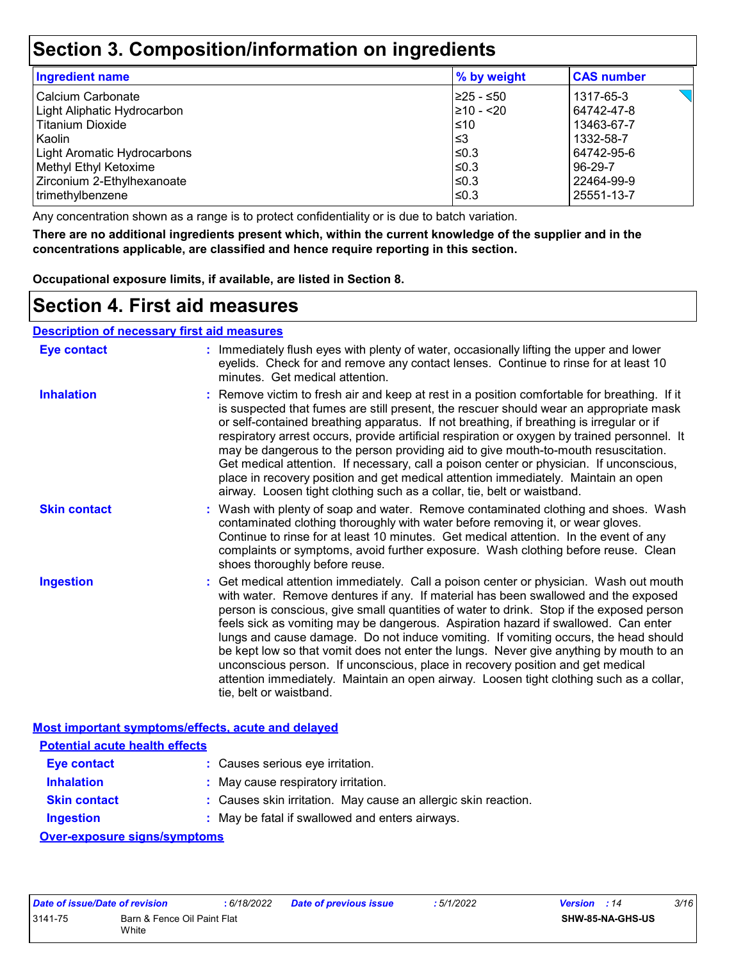### **Section 3. Composition/information on ingredients**

| <b>Ingredient name</b>      | % by weight    | <b>CAS number</b> |
|-----------------------------|----------------|-------------------|
| Calcium Carbonate           | 225 - ≤50      | 1317-65-3         |
| Light Aliphatic Hydrocarbon | $\geq 10 - 20$ | 64742-47-8        |
| <b>Titanium Dioxide</b>     | $\leq 10$      | 13463-67-7        |
| Kaolin                      | l≤3            | 1332-58-7         |
| Light Aromatic Hydrocarbons | ≤0.3           | 64742-95-6        |
| Methyl Ethyl Ketoxime       | ≤0.3           | 96-29-7           |
| Zirconium 2-Ethylhexanoate  | ≤0.3           | 22464-99-9        |
| trimethylbenzene            | ≤0.3           | 25551-13-7        |

Any concentration shown as a range is to protect confidentiality or is due to batch variation.

**There are no additional ingredients present which, within the current knowledge of the supplier and in the concentrations applicable, are classified and hence require reporting in this section.**

**Occupational exposure limits, if available, are listed in Section 8.**

### **Section 4. First aid measures**

**Description of necessary first aid measures**

| <b>Eye contact</b>                                 | : Immediately flush eyes with plenty of water, occasionally lifting the upper and lower<br>eyelids. Check for and remove any contact lenses. Continue to rinse for at least 10<br>minutes. Get medical attention.                                                                                                                                                                                                                                                                                                                                                                                                                                                                                                                                       |
|----------------------------------------------------|---------------------------------------------------------------------------------------------------------------------------------------------------------------------------------------------------------------------------------------------------------------------------------------------------------------------------------------------------------------------------------------------------------------------------------------------------------------------------------------------------------------------------------------------------------------------------------------------------------------------------------------------------------------------------------------------------------------------------------------------------------|
| <b>Inhalation</b>                                  | : Remove victim to fresh air and keep at rest in a position comfortable for breathing. If it<br>is suspected that fumes are still present, the rescuer should wear an appropriate mask<br>or self-contained breathing apparatus. If not breathing, if breathing is irregular or if<br>respiratory arrest occurs, provide artificial respiration or oxygen by trained personnel. It<br>may be dangerous to the person providing aid to give mouth-to-mouth resuscitation.<br>Get medical attention. If necessary, call a poison center or physician. If unconscious,<br>place in recovery position and get medical attention immediately. Maintain an open<br>airway. Loosen tight clothing such as a collar, tie, belt or waistband.                    |
| <b>Skin contact</b>                                | : Wash with plenty of soap and water. Remove contaminated clothing and shoes. Wash<br>contaminated clothing thoroughly with water before removing it, or wear gloves.<br>Continue to rinse for at least 10 minutes. Get medical attention. In the event of any<br>complaints or symptoms, avoid further exposure. Wash clothing before reuse. Clean<br>shoes thoroughly before reuse.                                                                                                                                                                                                                                                                                                                                                                   |
| <b>Ingestion</b>                                   | : Get medical attention immediately. Call a poison center or physician. Wash out mouth<br>with water. Remove dentures if any. If material has been swallowed and the exposed<br>person is conscious, give small quantities of water to drink. Stop if the exposed person<br>feels sick as vomiting may be dangerous. Aspiration hazard if swallowed. Can enter<br>lungs and cause damage. Do not induce vomiting. If vomiting occurs, the head should<br>be kept low so that vomit does not enter the lungs. Never give anything by mouth to an<br>unconscious person. If unconscious, place in recovery position and get medical<br>attention immediately. Maintain an open airway. Loosen tight clothing such as a collar,<br>tie, belt or waistband. |
| Most important symptoms/effects, acute and delayed |                                                                                                                                                                                                                                                                                                                                                                                                                                                                                                                                                                                                                                                                                                                                                         |
| <b>Potential acute health effects</b>              |                                                                                                                                                                                                                                                                                                                                                                                                                                                                                                                                                                                                                                                                                                                                                         |
| <b>Eye contact</b>                                 | : Causes serious eye irritation.                                                                                                                                                                                                                                                                                                                                                                                                                                                                                                                                                                                                                                                                                                                        |

| <b>Inhalation</b>   | : May cause respiratory irritation.                            |
|---------------------|----------------------------------------------------------------|
| <b>Skin contact</b> | : Causes skin irritation. May cause an allergic skin reaction. |

**Ingestion :** May be fatal if swallowed and enters airways.

**Over-exposure signs/symptoms**

| Date of issue/Date of revision |                                      | : 6/18/2022 | <b>Date of previous issue</b> | : 5/1/2022 | <b>Version</b> : 14 |                         | 3/16 |
|--------------------------------|--------------------------------------|-------------|-------------------------------|------------|---------------------|-------------------------|------|
| 3141-75                        | Barn & Fence Oil Paint Flat<br>White |             |                               |            |                     | <b>SHW-85-NA-GHS-US</b> |      |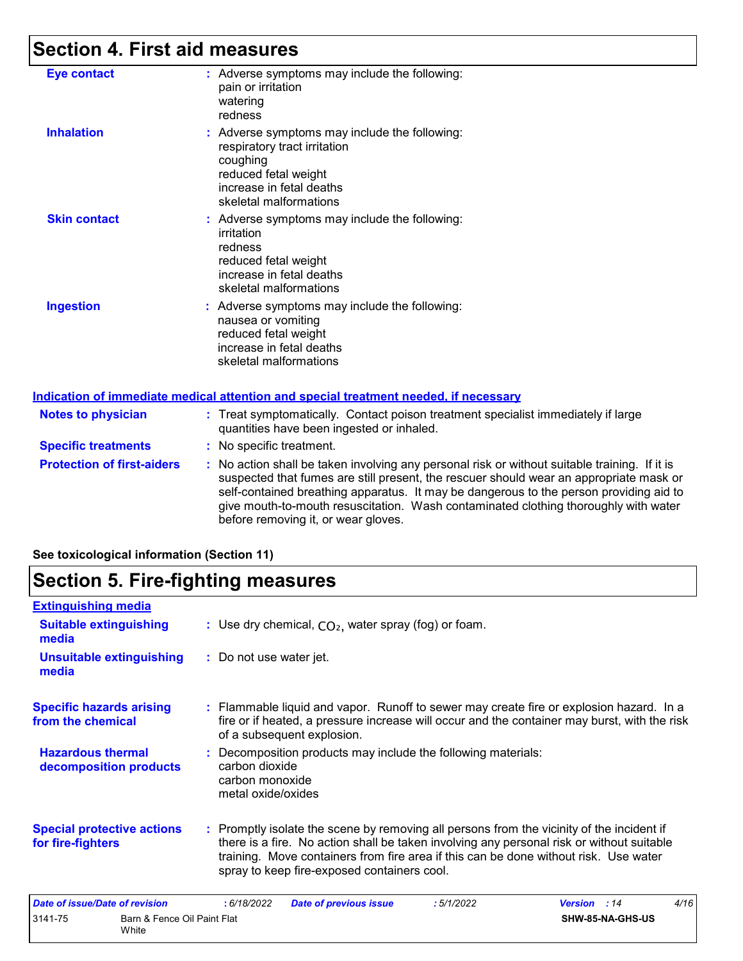### **Section 4. First aid measures**

| <b>Eye contact</b><br>: Adverse symptoms may include the following:<br>pain or irritation<br>watering<br>redness<br><b>Inhalation</b><br>: Adverse symptoms may include the following:<br>respiratory tract irritation<br>coughing<br>reduced fetal weight<br>increase in fetal deaths<br>skeletal malformations<br><b>Skin contact</b><br>: Adverse symptoms may include the following:<br>irritation<br>redness<br>reduced fetal weight<br>increase in fetal deaths<br>skeletal malformations<br><b>Ingestion</b><br>: Adverse symptoms may include the following:<br>nausea or vomiting<br>reduced fetal weight<br>increase in fetal deaths<br>skeletal malformations<br><b>Notes to physician</b><br>: Treat symptomatically. Contact poison treatment specialist immediately if large<br>quantities have been ingested or inhaled.<br>: No specific treatment.<br><b>Specific treatments</b><br><b>Protection of first-aiders</b><br>: No action shall be taken involving any personal risk or without suitable training. If it is<br>suspected that fumes are still present, the rescuer should wear an appropriate mask or<br>self-contained breathing apparatus. It may be dangerous to the person providing aid to<br>give mouth-to-mouth resuscitation. Wash contaminated clothing thoroughly with water<br>before removing it, or wear gloves. |  |
|-----------------------------------------------------------------------------------------------------------------------------------------------------------------------------------------------------------------------------------------------------------------------------------------------------------------------------------------------------------------------------------------------------------------------------------------------------------------------------------------------------------------------------------------------------------------------------------------------------------------------------------------------------------------------------------------------------------------------------------------------------------------------------------------------------------------------------------------------------------------------------------------------------------------------------------------------------------------------------------------------------------------------------------------------------------------------------------------------------------------------------------------------------------------------------------------------------------------------------------------------------------------------------------------------------------------------------------------------------------|--|
| Indication of immediate medical attention and special treatment needed, if necessary                                                                                                                                                                                                                                                                                                                                                                                                                                                                                                                                                                                                                                                                                                                                                                                                                                                                                                                                                                                                                                                                                                                                                                                                                                                                      |  |
|                                                                                                                                                                                                                                                                                                                                                                                                                                                                                                                                                                                                                                                                                                                                                                                                                                                                                                                                                                                                                                                                                                                                                                                                                                                                                                                                                           |  |
|                                                                                                                                                                                                                                                                                                                                                                                                                                                                                                                                                                                                                                                                                                                                                                                                                                                                                                                                                                                                                                                                                                                                                                                                                                                                                                                                                           |  |
|                                                                                                                                                                                                                                                                                                                                                                                                                                                                                                                                                                                                                                                                                                                                                                                                                                                                                                                                                                                                                                                                                                                                                                                                                                                                                                                                                           |  |
|                                                                                                                                                                                                                                                                                                                                                                                                                                                                                                                                                                                                                                                                                                                                                                                                                                                                                                                                                                                                                                                                                                                                                                                                                                                                                                                                                           |  |
|                                                                                                                                                                                                                                                                                                                                                                                                                                                                                                                                                                                                                                                                                                                                                                                                                                                                                                                                                                                                                                                                                                                                                                                                                                                                                                                                                           |  |
|                                                                                                                                                                                                                                                                                                                                                                                                                                                                                                                                                                                                                                                                                                                                                                                                                                                                                                                                                                                                                                                                                                                                                                                                                                                                                                                                                           |  |
|                                                                                                                                                                                                                                                                                                                                                                                                                                                                                                                                                                                                                                                                                                                                                                                                                                                                                                                                                                                                                                                                                                                                                                                                                                                                                                                                                           |  |

#### **See toxicological information (Section 11)**

White

### **Section 5. Fire-fighting measures**

| <b>Extinguishing media</b>                             |                                                                                                                                                                                                                                                                                                                               |
|--------------------------------------------------------|-------------------------------------------------------------------------------------------------------------------------------------------------------------------------------------------------------------------------------------------------------------------------------------------------------------------------------|
| <b>Suitable extinguishing</b><br>media                 | : Use dry chemical, $CO2$ , water spray (fog) or foam.                                                                                                                                                                                                                                                                        |
| <b>Unsuitable extinguishing</b><br>media               | : Do not use water jet.                                                                                                                                                                                                                                                                                                       |
| <b>Specific hazards arising</b><br>from the chemical   | : Flammable liquid and vapor. Runoff to sewer may create fire or explosion hazard. In a<br>fire or if heated, a pressure increase will occur and the container may burst, with the risk<br>of a subsequent explosion.                                                                                                         |
| <b>Hazardous thermal</b><br>decomposition products     | : Decomposition products may include the following materials:<br>carbon dioxide<br>carbon monoxide<br>metal oxide/oxides                                                                                                                                                                                                      |
| <b>Special protective actions</b><br>for fire-fighters | : Promptly isolate the scene by removing all persons from the vicinity of the incident if<br>there is a fire. No action shall be taken involving any personal risk or without suitable<br>training. Move containers from fire area if this can be done without risk. Use water<br>spray to keep fire-exposed containers cool. |
| Date of issue/Date of revision                         | 4/16<br>: 6/18/2022<br>:5/1/2022<br>Version : 14<br><b>Date of previous issue</b>                                                                                                                                                                                                                                             |
| 3141-75<br>Barn & Fence Oil Paint Flat                 | SHW-85-NA-GHS-US                                                                                                                                                                                                                                                                                                              |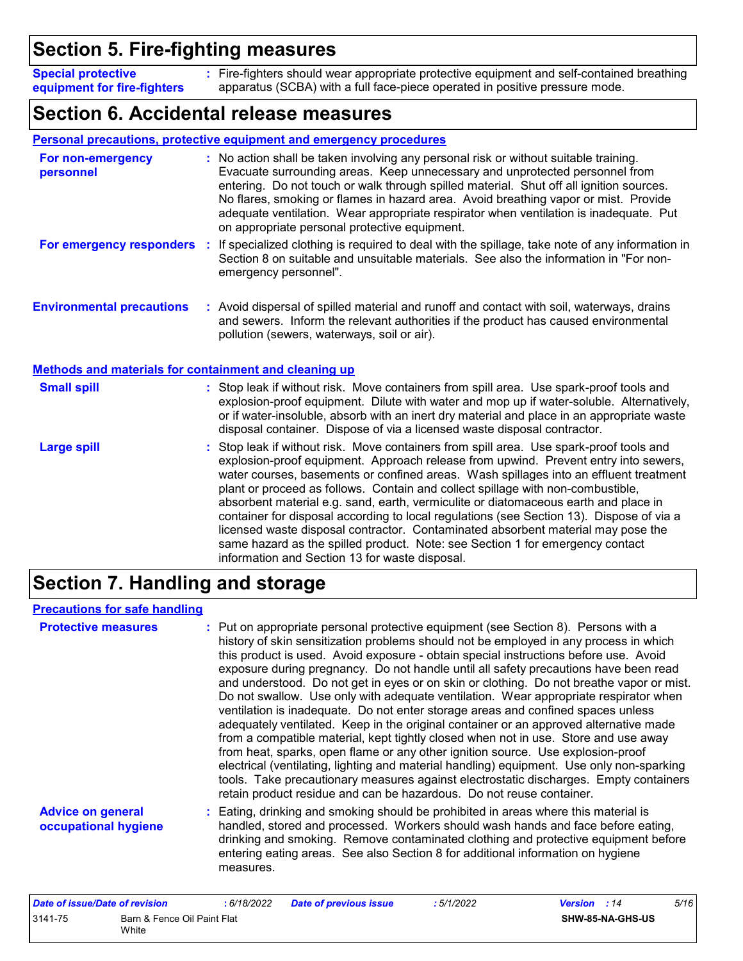### **Section 5. Fire-fighting measures**

Fire-fighters should wear appropriate protective equipment and self-contained breathing **:** apparatus (SCBA) with a full face-piece operated in positive pressure mode. **Special protective equipment for fire-fighters**

### **Section 6. Accidental release measures**

|                                                       | <b>Personal precautions, protective equipment and emergency procedures</b>                                                                                                                                                                                                                                                                                                                                                                                                                                                                                                                                                                                                                                                                                           |
|-------------------------------------------------------|----------------------------------------------------------------------------------------------------------------------------------------------------------------------------------------------------------------------------------------------------------------------------------------------------------------------------------------------------------------------------------------------------------------------------------------------------------------------------------------------------------------------------------------------------------------------------------------------------------------------------------------------------------------------------------------------------------------------------------------------------------------------|
| For non-emergency<br>personnel                        | : No action shall be taken involving any personal risk or without suitable training.<br>Evacuate surrounding areas. Keep unnecessary and unprotected personnel from<br>entering. Do not touch or walk through spilled material. Shut off all ignition sources.<br>No flares, smoking or flames in hazard area. Avoid breathing vapor or mist. Provide<br>adequate ventilation. Wear appropriate respirator when ventilation is inadequate. Put<br>on appropriate personal protective equipment.                                                                                                                                                                                                                                                                      |
|                                                       | For emergency responders : If specialized clothing is required to deal with the spillage, take note of any information in<br>Section 8 on suitable and unsuitable materials. See also the information in "For non-<br>emergency personnel".                                                                                                                                                                                                                                                                                                                                                                                                                                                                                                                          |
| <b>Environmental precautions</b>                      | : Avoid dispersal of spilled material and runoff and contact with soil, waterways, drains<br>and sewers. Inform the relevant authorities if the product has caused environmental<br>pollution (sewers, waterways, soil or air).                                                                                                                                                                                                                                                                                                                                                                                                                                                                                                                                      |
| Methods and materials for containment and cleaning up |                                                                                                                                                                                                                                                                                                                                                                                                                                                                                                                                                                                                                                                                                                                                                                      |
| <b>Small spill</b>                                    | : Stop leak if without risk. Move containers from spill area. Use spark-proof tools and<br>explosion-proof equipment. Dilute with water and mop up if water-soluble. Alternatively,<br>or if water-insoluble, absorb with an inert dry material and place in an appropriate waste<br>disposal container. Dispose of via a licensed waste disposal contractor.                                                                                                                                                                                                                                                                                                                                                                                                        |
| <b>Large spill</b>                                    | : Stop leak if without risk. Move containers from spill area. Use spark-proof tools and<br>explosion-proof equipment. Approach release from upwind. Prevent entry into sewers,<br>water courses, basements or confined areas. Wash spillages into an effluent treatment<br>plant or proceed as follows. Contain and collect spillage with non-combustible,<br>absorbent material e.g. sand, earth, vermiculite or diatomaceous earth and place in<br>container for disposal according to local regulations (see Section 13). Dispose of via a<br>licensed waste disposal contractor. Contaminated absorbent material may pose the<br>same hazard as the spilled product. Note: see Section 1 for emergency contact<br>information and Section 13 for waste disposal. |

### **Section 7. Handling and storage**

#### **Precautions for safe handling**

| <b>Protective measures</b>                       | : Put on appropriate personal protective equipment (see Section 8). Persons with a<br>history of skin sensitization problems should not be employed in any process in which<br>this product is used. Avoid exposure - obtain special instructions before use. Avoid<br>exposure during pregnancy. Do not handle until all safety precautions have been read<br>and understood. Do not get in eyes or on skin or clothing. Do not breathe vapor or mist.<br>Do not swallow. Use only with adequate ventilation. Wear appropriate respirator when<br>ventilation is inadequate. Do not enter storage areas and confined spaces unless<br>adequately ventilated. Keep in the original container or an approved alternative made<br>from a compatible material, kept tightly closed when not in use. Store and use away<br>from heat, sparks, open flame or any other ignition source. Use explosion-proof<br>electrical (ventilating, lighting and material handling) equipment. Use only non-sparking<br>tools. Take precautionary measures against electrostatic discharges. Empty containers<br>retain product residue and can be hazardous. Do not reuse container. |
|--------------------------------------------------|----------------------------------------------------------------------------------------------------------------------------------------------------------------------------------------------------------------------------------------------------------------------------------------------------------------------------------------------------------------------------------------------------------------------------------------------------------------------------------------------------------------------------------------------------------------------------------------------------------------------------------------------------------------------------------------------------------------------------------------------------------------------------------------------------------------------------------------------------------------------------------------------------------------------------------------------------------------------------------------------------------------------------------------------------------------------------------------------------------------------------------------------------------------------|
| <b>Advice on general</b><br>occupational hygiene | : Eating, drinking and smoking should be prohibited in areas where this material is<br>handled, stored and processed. Workers should wash hands and face before eating,<br>drinking and smoking. Remove contaminated clothing and protective equipment before<br>entering eating areas. See also Section 8 for additional information on hygiene<br>measures.                                                                                                                                                                                                                                                                                                                                                                                                                                                                                                                                                                                                                                                                                                                                                                                                        |

| Date of issue/Date of revision |                                      | 6/18/2022 | <b>Date of previous issue</b> | : 5/1/2022 | <b>Version</b> : 14 |                         | 5/16 |
|--------------------------------|--------------------------------------|-----------|-------------------------------|------------|---------------------|-------------------------|------|
| 3141-75                        | Barn & Fence Oil Paint Flat<br>White |           |                               |            |                     | <b>SHW-85-NA-GHS-US</b> |      |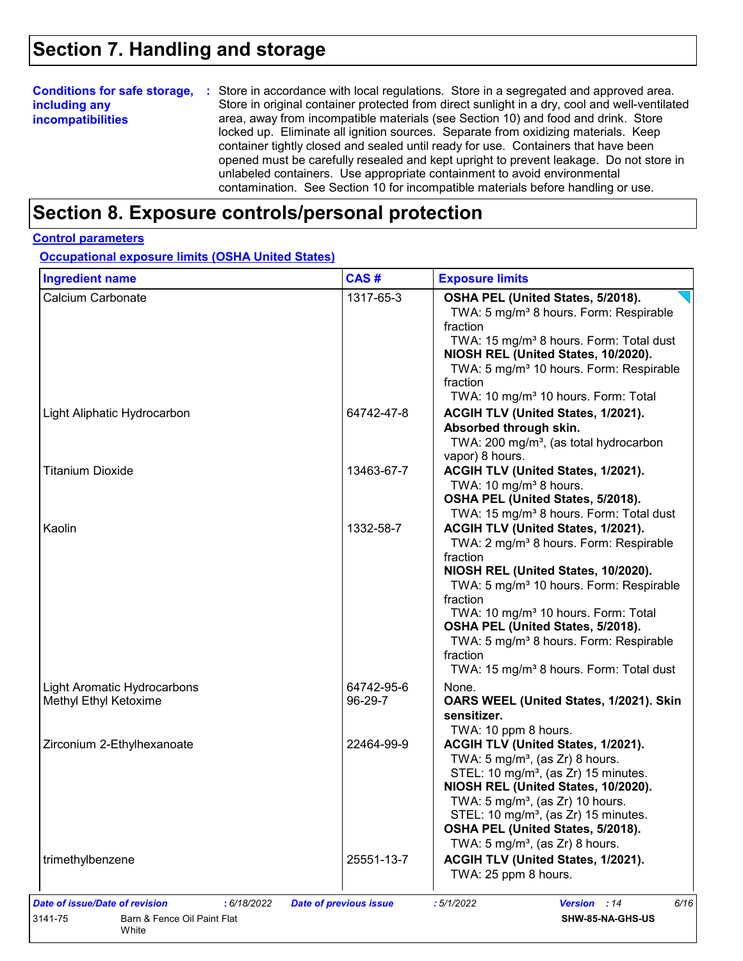### **Section 7. Handling and storage**

|                          | <b>Conditions for safe storage, :</b> Store in accordance with local regulations. Store in a segregated and approved area. |
|--------------------------|----------------------------------------------------------------------------------------------------------------------------|
| including any            | Store in original container protected from direct sunlight in a dry, cool and well-ventilated                              |
| <b>incompatibilities</b> | area, away from incompatible materials (see Section 10) and food and drink. Store                                          |
|                          | locked up. Eliminate all ignition sources. Separate from oxidizing materials. Keep                                         |
|                          | container tightly closed and sealed until ready for use. Containers that have been                                         |
|                          | opened must be carefully resealed and kept upright to prevent leakage. Do not store in                                     |
|                          | unlabeled containers. Use appropriate containment to avoid environmental                                                   |
|                          | contamination. See Section 10 for incompatible materials before handling or use.                                           |

### **Section 8. Exposure controls/personal protection**

#### **Control parameters**

**Occupational exposure limits (OSHA United States)**

| <b>Ingredient name</b>                               | CAS#                  | <b>Exposure limits</b>                                                                                                                                                                                                                                                                                                                                                                                                          |
|------------------------------------------------------|-----------------------|---------------------------------------------------------------------------------------------------------------------------------------------------------------------------------------------------------------------------------------------------------------------------------------------------------------------------------------------------------------------------------------------------------------------------------|
| Calcium Carbonate                                    | 1317-65-3             | OSHA PEL (United States, 5/2018).<br>TWA: 5 mg/m <sup>3</sup> 8 hours. Form: Respirable<br>fraction<br>TWA: 15 mg/m <sup>3</sup> 8 hours. Form: Total dust<br>NIOSH REL (United States, 10/2020).<br>TWA: 5 mg/m <sup>3</sup> 10 hours. Form: Respirable<br>fraction<br>TWA: 10 mg/m <sup>3</sup> 10 hours. Form: Total                                                                                                         |
| Light Aliphatic Hydrocarbon                          | 64742-47-8            | ACGIH TLV (United States, 1/2021).<br>Absorbed through skin.<br>TWA: 200 mg/m <sup>3</sup> , (as total hydrocarbon<br>vapor) 8 hours.                                                                                                                                                                                                                                                                                           |
| <b>Titanium Dioxide</b>                              | 13463-67-7            | ACGIH TLV (United States, 1/2021).<br>TWA: 10 mg/m <sup>3</sup> 8 hours.<br>OSHA PEL (United States, 5/2018).<br>TWA: 15 mg/m <sup>3</sup> 8 hours. Form: Total dust                                                                                                                                                                                                                                                            |
| Kaolin                                               | 1332-58-7             | ACGIH TLV (United States, 1/2021).<br>TWA: 2 mg/m <sup>3</sup> 8 hours. Form: Respirable<br>fraction<br>NIOSH REL (United States, 10/2020).<br>TWA: 5 mg/m <sup>3</sup> 10 hours. Form: Respirable<br>fraction<br>TWA: 10 mg/m <sup>3</sup> 10 hours. Form: Total<br>OSHA PEL (United States, 5/2018).<br>TWA: 5 mg/m <sup>3</sup> 8 hours. Form: Respirable<br>fraction<br>TWA: 15 mg/m <sup>3</sup> 8 hours. Form: Total dust |
| Light Aromatic Hydrocarbons<br>Methyl Ethyl Ketoxime | 64742-95-6<br>96-29-7 | None.<br>OARS WEEL (United States, 1/2021). Skin<br>sensitizer.<br>TWA: 10 ppm 8 hours.                                                                                                                                                                                                                                                                                                                                         |
| Zirconium 2-Ethylhexanoate                           | 22464-99-9            | ACGIH TLV (United States, 1/2021).<br>TWA: $5 \text{ mg/m}^3$ , (as Zr) 8 hours.<br>STEL: 10 mg/m <sup>3</sup> , (as Zr) 15 minutes.<br>NIOSH REL (United States, 10/2020).<br>TWA: $5 \text{ mg/m}^3$ , (as Zr) 10 hours.<br>STEL: 10 mg/m <sup>3</sup> , (as Zr) 15 minutes.<br>OSHA PEL (United States, 5/2018).<br>TWA: $5 \text{ mg/m}^3$ , (as Zr) 8 hours.                                                               |
|                                                      | 25551-13-7            | ACGIH TLV (United States, 1/2021).                                                                                                                                                                                                                                                                                                                                                                                              |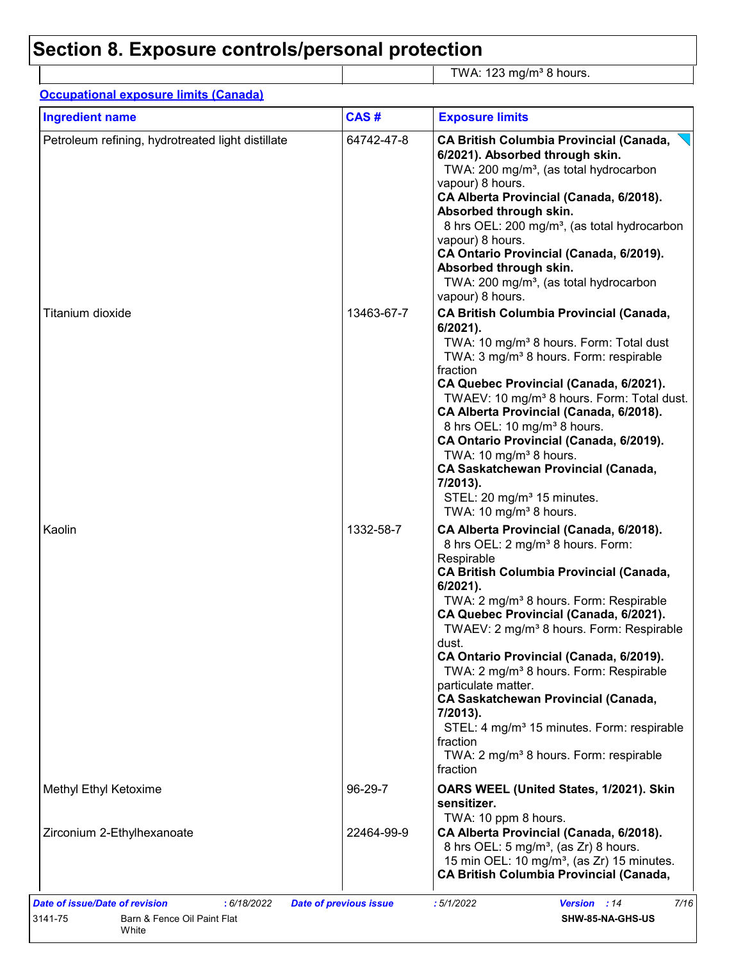# **Section 8. Exposure controls/personal protection**

| <b>Ingredient name</b>                            | CAS#       | <b>Exposure limits</b>                                                                                                                                                                                                                                                                                                                                                                                                                                                                                                                                                                                                                                          |
|---------------------------------------------------|------------|-----------------------------------------------------------------------------------------------------------------------------------------------------------------------------------------------------------------------------------------------------------------------------------------------------------------------------------------------------------------------------------------------------------------------------------------------------------------------------------------------------------------------------------------------------------------------------------------------------------------------------------------------------------------|
| Petroleum refining, hydrotreated light distillate | 64742-47-8 | <b>CA British Columbia Provincial (Canada,</b><br>6/2021). Absorbed through skin.<br>TWA: 200 mg/m <sup>3</sup> , (as total hydrocarbon<br>vapour) 8 hours.<br>CA Alberta Provincial (Canada, 6/2018).<br>Absorbed through skin.<br>8 hrs OEL: 200 mg/m <sup>3</sup> , (as total hydrocarbon<br>vapour) 8 hours.<br>CA Ontario Provincial (Canada, 6/2019).<br>Absorbed through skin.<br>TWA: 200 mg/m <sup>3</sup> , (as total hydrocarbon<br>vapour) 8 hours.                                                                                                                                                                                                 |
| Titanium dioxide                                  | 13463-67-7 | <b>CA British Columbia Provincial (Canada,</b><br>$6/2021$ ).<br>TWA: 10 mg/m <sup>3</sup> 8 hours. Form: Total dust<br>TWA: 3 mg/m <sup>3</sup> 8 hours. Form: respirable<br>fraction<br>CA Quebec Provincial (Canada, 6/2021).<br>TWAEV: 10 mg/m <sup>3</sup> 8 hours. Form: Total dust.<br>CA Alberta Provincial (Canada, 6/2018).<br>8 hrs OEL: 10 mg/m <sup>3</sup> 8 hours.<br>CA Ontario Provincial (Canada, 6/2019).<br>TWA: 10 mg/m <sup>3</sup> 8 hours.<br><b>CA Saskatchewan Provincial (Canada,</b><br>7/2013).<br>STEL: 20 mg/m <sup>3</sup> 15 minutes.<br>TWA: 10 mg/m <sup>3</sup> 8 hours.                                                    |
| Kaolin                                            | 1332-58-7  | CA Alberta Provincial (Canada, 6/2018).<br>8 hrs OEL: 2 mg/m <sup>3</sup> 8 hours. Form:<br>Respirable<br><b>CA British Columbia Provincial (Canada,</b><br>6/2021).<br>TWA: 2 mg/m <sup>3</sup> 8 hours. Form: Respirable<br>CA Quebec Provincial (Canada, 6/2021).<br>TWAEV: 2 mg/m <sup>3</sup> 8 hours. Form: Respirable<br>dust.<br>CA Ontario Provincial (Canada, 6/2019).<br>TWA: 2 mg/m <sup>3</sup> 8 hours. Form: Respirable<br>particulate matter.<br><b>CA Saskatchewan Provincial (Canada,</b><br>7/2013).<br>STEL: 4 mg/m <sup>3</sup> 15 minutes. Form: respirable<br>fraction<br>TWA: 2 mg/m <sup>3</sup> 8 hours. Form: respirable<br>fraction |
| Methyl Ethyl Ketoxime                             | 96-29-7    | OARS WEEL (United States, 1/2021). Skin<br>sensitizer.<br>TWA: 10 ppm 8 hours.                                                                                                                                                                                                                                                                                                                                                                                                                                                                                                                                                                                  |
| Zirconium 2-Ethylhexanoate                        | 22464-99-9 | CA Alberta Provincial (Canada, 6/2018).<br>8 hrs OEL: 5 mg/m <sup>3</sup> , (as Zr) 8 hours.<br>15 min OEL: 10 mg/m <sup>3</sup> , (as Zr) 15 minutes.<br><b>CA British Columbia Provincial (Canada,</b>                                                                                                                                                                                                                                                                                                                                                                                                                                                        |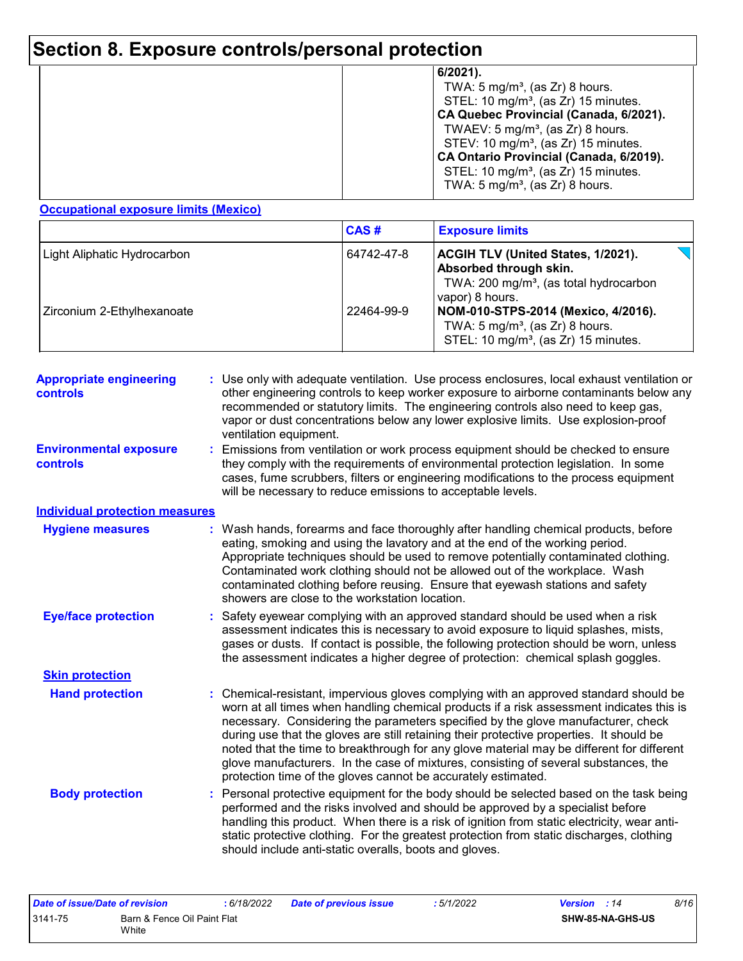## **Section 8. Exposure controls/personal protection**

#### **Occupational exposure limits (Mexico)**

|                             | <b>CAS#</b>                                                                                                                                                | <b>Exposure limits</b>                                                                                                                |
|-----------------------------|------------------------------------------------------------------------------------------------------------------------------------------------------------|---------------------------------------------------------------------------------------------------------------------------------------|
| Light Aliphatic Hydrocarbon | <b>ACGIH TLV (United States, 1/2021).</b><br>64742-47-8<br>Absorbed through skin.<br>TWA: 200 mg/m <sup>3</sup> , (as total hydrocarbon<br>vapor) 8 hours. |                                                                                                                                       |
| Zirconium 2-Ethylhexanoate  | 22464-99-9                                                                                                                                                 | NOM-010-STPS-2014 (Mexico, 4/2016).<br>TWA: $5 \text{ mg/m}^3$ , (as Zr) 8 hours.<br>STEL: 10 mg/m <sup>3</sup> , (as Zr) 15 minutes. |

| <b>Appropriate engineering</b><br><b>controls</b> | : Use only with adequate ventilation. Use process enclosures, local exhaust ventilation or<br>other engineering controls to keep worker exposure to airborne contaminants below any<br>recommended or statutory limits. The engineering controls also need to keep gas,<br>vapor or dust concentrations below any lower explosive limits. Use explosion-proof<br>ventilation equipment.                                                                                                                                                                                                                              |
|---------------------------------------------------|----------------------------------------------------------------------------------------------------------------------------------------------------------------------------------------------------------------------------------------------------------------------------------------------------------------------------------------------------------------------------------------------------------------------------------------------------------------------------------------------------------------------------------------------------------------------------------------------------------------------|
| <b>Environmental exposure</b><br><b>controls</b>  | Emissions from ventilation or work process equipment should be checked to ensure<br>they comply with the requirements of environmental protection legislation. In some<br>cases, fume scrubbers, filters or engineering modifications to the process equipment<br>will be necessary to reduce emissions to acceptable levels.                                                                                                                                                                                                                                                                                        |
| <b>Individual protection measures</b>             |                                                                                                                                                                                                                                                                                                                                                                                                                                                                                                                                                                                                                      |
| <b>Hygiene measures</b>                           | Wash hands, forearms and face thoroughly after handling chemical products, before<br>eating, smoking and using the lavatory and at the end of the working period.<br>Appropriate techniques should be used to remove potentially contaminated clothing.<br>Contaminated work clothing should not be allowed out of the workplace. Wash<br>contaminated clothing before reusing. Ensure that eyewash stations and safety<br>showers are close to the workstation location.                                                                                                                                            |
| <b>Eye/face protection</b>                        | Safety eyewear complying with an approved standard should be used when a risk<br>assessment indicates this is necessary to avoid exposure to liquid splashes, mists,<br>gases or dusts. If contact is possible, the following protection should be worn, unless<br>the assessment indicates a higher degree of protection: chemical splash goggles.                                                                                                                                                                                                                                                                  |
| <b>Skin protection</b>                            |                                                                                                                                                                                                                                                                                                                                                                                                                                                                                                                                                                                                                      |
| <b>Hand protection</b>                            | Chemical-resistant, impervious gloves complying with an approved standard should be<br>worn at all times when handling chemical products if a risk assessment indicates this is<br>necessary. Considering the parameters specified by the glove manufacturer, check<br>during use that the gloves are still retaining their protective properties. It should be<br>noted that the time to breakthrough for any glove material may be different for different<br>glove manufacturers. In the case of mixtures, consisting of several substances, the<br>protection time of the gloves cannot be accurately estimated. |
| <b>Body protection</b>                            | Personal protective equipment for the body should be selected based on the task being<br>performed and the risks involved and should be approved by a specialist before<br>handling this product. When there is a risk of ignition from static electricity, wear anti-<br>static protective clothing. For the greatest protection from static discharges, clothing<br>should include anti-static overalls, boots and gloves.                                                                                                                                                                                         |

| Date of issue/Date of revision |                             | 6/18/2022 | <b>Date of previous issue</b> | : 5/1/2022 | <b>Version</b> : 14 |                  | 8/16 |
|--------------------------------|-----------------------------|-----------|-------------------------------|------------|---------------------|------------------|------|
| 3141-75                        | Barn & Fence Oil Paint Flat |           |                               |            |                     | SHW-85-NA-GHS-US |      |
|                                | White                       |           |                               |            |                     |                  |      |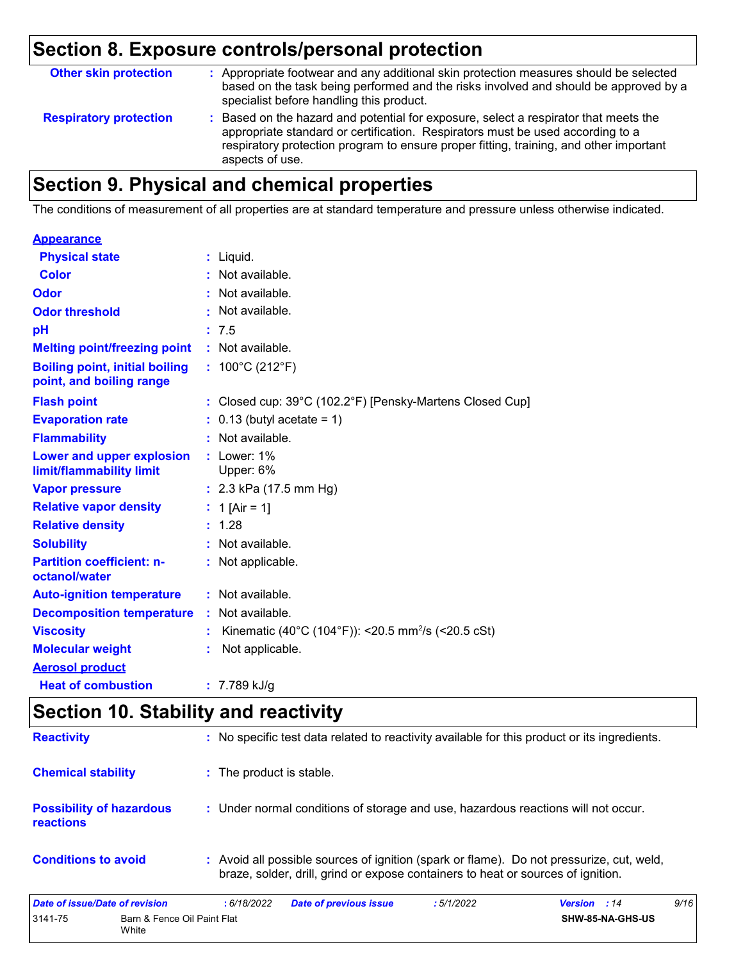### **Section 8. Exposure controls/personal protection**

| <b>Other skin protection</b>  | : Appropriate footwear and any additional skin protection measures should be selected<br>based on the task being performed and the risks involved and should be approved by a<br>specialist before handling this product.                                                           |
|-------------------------------|-------------------------------------------------------------------------------------------------------------------------------------------------------------------------------------------------------------------------------------------------------------------------------------|
| <b>Respiratory protection</b> | : Based on the hazard and potential for exposure, select a respirator that meets the<br>appropriate standard or certification. Respirators must be used according to a<br>respiratory protection program to ensure proper fitting, training, and other important<br>aspects of use. |

### **Section 9. Physical and chemical properties**

The conditions of measurement of all properties are at standard temperature and pressure unless otherwise indicated.

#### **Appearance**

| <b>Physical state</b>                                             |    | : Liquid.                                                      |
|-------------------------------------------------------------------|----|----------------------------------------------------------------|
| <b>Color</b>                                                      |    | : Not available.                                               |
| Odor                                                              |    | : Not available.                                               |
| <b>Odor threshold</b>                                             |    | : Not available.                                               |
| рH                                                                |    | : 7.5                                                          |
| <b>Melting point/freezing point</b>                               |    | $:$ Not available.                                             |
| <b>Boiling point, initial boiling</b><br>point, and boiling range |    | : $100^{\circ}$ C (212 $^{\circ}$ F)                           |
| <b>Flash point</b>                                                |    | : Closed cup: 39°C (102.2°F) [Pensky-Martens Closed Cup]       |
| <b>Evaporation rate</b>                                           |    | $0.13$ (butyl acetate = 1)                                     |
| <b>Flammability</b>                                               |    | : Not available.                                               |
| Lower and upper explosion<br>limit/flammability limit             |    | : Lower: 1%<br>Upper: 6%                                       |
| <b>Vapor pressure</b>                                             |    | : $2.3$ kPa (17.5 mm Hg)                                       |
| <b>Relative vapor density</b>                                     |    | : 1 [Air = 1]                                                  |
| <b>Relative density</b>                                           |    | : 1.28                                                         |
| <b>Solubility</b>                                                 |    | : Not available.                                               |
| <b>Partition coefficient: n-</b><br>octanol/water                 |    | : Not applicable.                                              |
| <b>Auto-ignition temperature</b>                                  |    | : Not available.                                               |
| <b>Decomposition temperature</b>                                  | ÷. | Not available.                                                 |
| <b>Viscosity</b>                                                  |    | Kinematic (40°C (104°F)): <20.5 mm <sup>2</sup> /s (<20.5 cSt) |
| <b>Molecular weight</b>                                           |    | Not applicable.                                                |
| <b>Aerosol product</b>                                            |    |                                                                |
| <b>Heat of combustion</b>                                         |    | $: 7.789$ kJ/g                                                 |

### **Section 10. Stability and reactivity**

3141-75 Barn & Fence Oil Paint Flat **White** 

| Date of issue/Date of revision                      | <b>Date of previous issue</b><br>: 6/18/2022                                                                                                                                 | :5/1/2022 | <b>Version</b> : 14 | 9/16 |
|-----------------------------------------------------|------------------------------------------------------------------------------------------------------------------------------------------------------------------------------|-----------|---------------------|------|
| <b>Conditions to avoid</b>                          | : Avoid all possible sources of ignition (spark or flame). Do not pressurize, cut, weld,<br>braze, solder, drill, grind or expose containers to heat or sources of ignition. |           |                     |      |
| <b>Possibility of hazardous</b><br><b>reactions</b> | : Under normal conditions of storage and use, hazardous reactions will not occur.                                                                                            |           |                     |      |
| <b>Chemical stability</b>                           | : The product is stable.                                                                                                                                                     |           |                     |      |
| <b>Reactivity</b>                                   | : No specific test data related to reactivity available for this product or its ingredients.                                                                                 |           |                     |      |

**SHW-85-NA-GHS-US**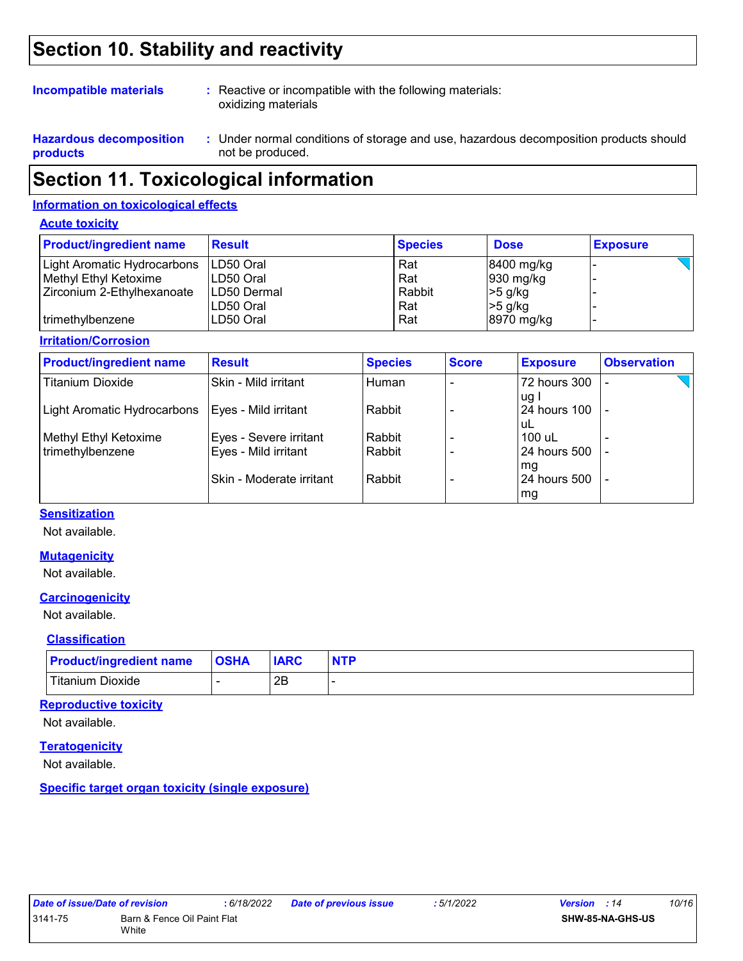### **Section 10. Stability and reactivity**

#### **Incompatible materials :**

: Reactive or incompatible with the following materials: oxidizing materials

**Hazardous decomposition products**

Under normal conditions of storage and use, hazardous decomposition products should **:** not be produced.

### **Section 11. Toxicological information**

#### **Information on toxicological effects**

#### **Acute toxicity**

| <b>Product/ingredient name</b> | <b>Result</b> | <b>Species</b> | <b>Dose</b>            | <b>Exposure</b> |
|--------------------------------|---------------|----------------|------------------------|-----------------|
| Light Aromatic Hydrocarbons    | ILD50 Oral    | Rat            | 8400 mg/kg             |                 |
| Methyl Ethyl Ketoxime          | LD50 Oral     | Rat            | $ 930 \text{ mg/kg} $  |                 |
| Zirconium 2-Ethylhexanoate     | ILD50 Dermal  | Rabbit         | $>5$ g/kg              |                 |
|                                | LD50 Oral     | Rat            | $>5$ g/kg              |                 |
| l trimethvlbenzene             | LD50 Oral     | Rat            | $ 8970 \text{ mg/kg} $ |                 |

#### **Irritation/Corrosion**

| <b>Product/ingredient name</b> | <b>Result</b>             | <b>Species</b> | <b>Score</b> | <b>Exposure</b> | <b>Observation</b> |
|--------------------------------|---------------------------|----------------|--------------|-----------------|--------------------|
| <b>Titanium Dioxide</b>        | Skin - Mild irritant      | Human          |              | 72 hours 300    |                    |
|                                |                           |                |              | uq              |                    |
| Light Aromatic Hydrocarbons    | Eyes - Mild irritant      | Rabbit         |              | 24 hours 100    | $\overline{a}$     |
|                                |                           |                |              | uL              |                    |
| Methyl Ethyl Ketoxime          | Eyes - Severe irritant    | Rabbit         |              | 100 uL          |                    |
| trimethylbenzene               | Eyes - Mild irritant      | Rabbit         |              | 24 hours 500    | $\blacksquare$     |
|                                |                           |                |              | mg              |                    |
|                                | lSkin - Moderate irritant | Rabbit         |              | 24 hours 500    |                    |
|                                |                           |                |              | mg              |                    |

#### **Sensitization**

Not available.

#### **Mutagenicity**

Not available.

### **Carcinogenicity**

Not available.

#### **Classification**

| <b>Product/ingredient name</b> | <b>OSHA</b> | <b>IARC</b> | <b>NTP</b> |
|--------------------------------|-------------|-------------|------------|
| Titanium Dioxide               |             | 2B          |            |

#### **Reproductive toxicity**

Not available.

#### **Teratogenicity**

Not available.

**Specific target organ toxicity (single exposure)**

| Date of issue/Date of revision |                             | :6/18/2 |
|--------------------------------|-----------------------------|---------|
| 3141-75                        | Barn & Fence Oil Paint Flat |         |
|                                | White                       |         |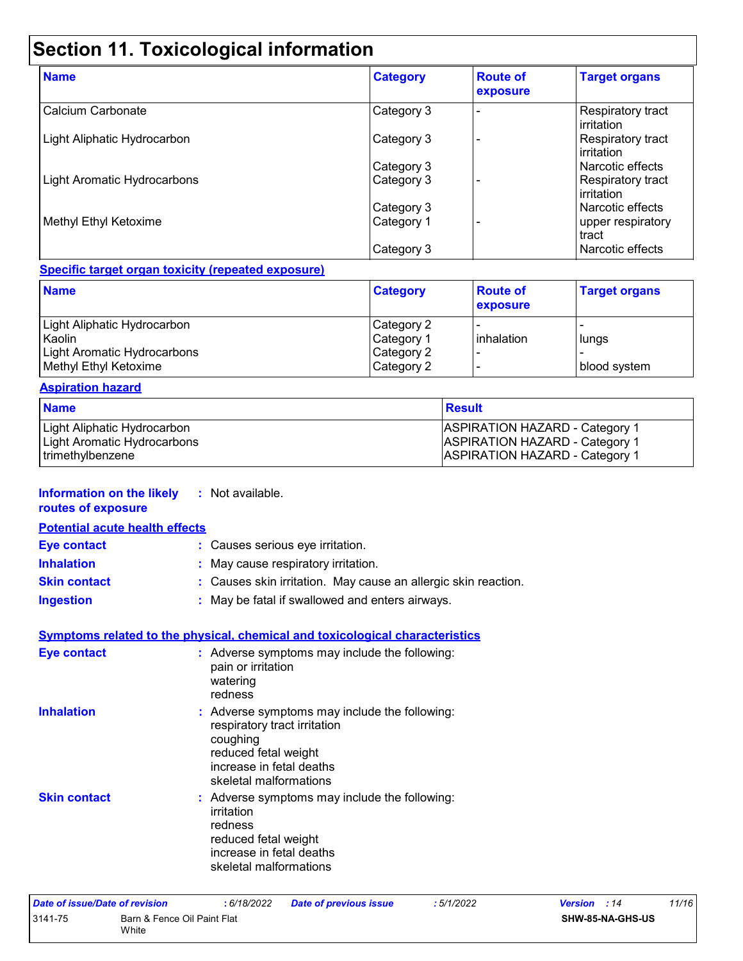### **Section 11. Toxicological information**

| <b>Name</b>                 | <b>Category</b> | <b>Route of</b><br>exposure | <b>Target organs</b>                            |
|-----------------------------|-----------------|-----------------------------|-------------------------------------------------|
| Calcium Carbonate           | Category 3      |                             | Respiratory tract<br><b>l</b> irritation        |
| Light Aliphatic Hydrocarbon | Category 3      |                             | Respiratory tract<br><b>l</b> irritation        |
|                             | Category 3      |                             | l Narcotic effects                              |
| Light Aromatic Hydrocarbons | Category 3      |                             | <b>Respiratory tract</b><br><b>l</b> irritation |
|                             | Category 3      |                             | l Narcotic effects                              |
| Methyl Ethyl Ketoxime       | Category 1      |                             | upper respiratory<br>tract                      |
|                             | Category 3      |                             | l Narcotic effects                              |

#### **Specific target organ toxicity (repeated exposure)**

| <b>Name</b>                        | <b>Category</b> | <b>Route of</b><br>exposure | <b>Target organs</b> |
|------------------------------------|-----------------|-----------------------------|----------------------|
| Light Aliphatic Hydrocarbon        | Category 2      |                             |                      |
| Kaolin                             | Category 1      | inhalation                  | lungs                |
| <b>Light Aromatic Hydrocarbons</b> | Category 2      |                             |                      |
| Methyl Ethyl Ketoxime              | Category 2      |                             | blood system         |

#### **Aspiration hazard**

| <b>Name</b>                 | <b>Result</b>                         |
|-----------------------------|---------------------------------------|
| Light Aliphatic Hydrocarbon | <b>ASPIRATION HAZARD - Category 1</b> |
| Light Aromatic Hydrocarbons | <b>ASPIRATION HAZARD - Category 1</b> |
| trimethylbenzene            | <b>ASPIRATION HAZARD - Category 1</b> |

#### **Information on the likely :** Not available.

|  | routes of exposure |  |
|--|--------------------|--|
|--|--------------------|--|

**Potential acute health effects**

| <b>Eye contact</b>  | : Causes serious eye irritation.                               |
|---------------------|----------------------------------------------------------------|
| <b>Inhalation</b>   | : May cause respiratory irritation.                            |
| <b>Skin contact</b> | : Causes skin irritation. May cause an allergic skin reaction. |
| <b>Ingestion</b>    | : May be fatal if swallowed and enters airways.                |

#### **Symptoms related to the physical, chemical and toxicological characteristics**

| <b>Eye contact</b>  | : Adverse symptoms may include the following:<br>pain or irritation<br>watering<br>redness                                                                              |
|---------------------|-------------------------------------------------------------------------------------------------------------------------------------------------------------------------|
| <b>Inhalation</b>   | : Adverse symptoms may include the following:<br>respiratory tract irritation<br>coughing<br>reduced fetal weight<br>increase in fetal deaths<br>skeletal malformations |
| <b>Skin contact</b> | : Adverse symptoms may include the following:<br>irritation<br>redness<br>reduced fetal weight<br>increase in fetal deaths<br>skeletal malformations                    |

| Date of issue/Date of revision |                                      | : 6/18/2022 | <b>Date of previous issue</b> | : 5/1/2022 | <b>Version</b> : 14 |                         | 11/16 |
|--------------------------------|--------------------------------------|-------------|-------------------------------|------------|---------------------|-------------------------|-------|
| 3141-75                        | Barn & Fence Oil Paint Flat<br>White |             |                               |            |                     | <b>SHW-85-NA-GHS-US</b> |       |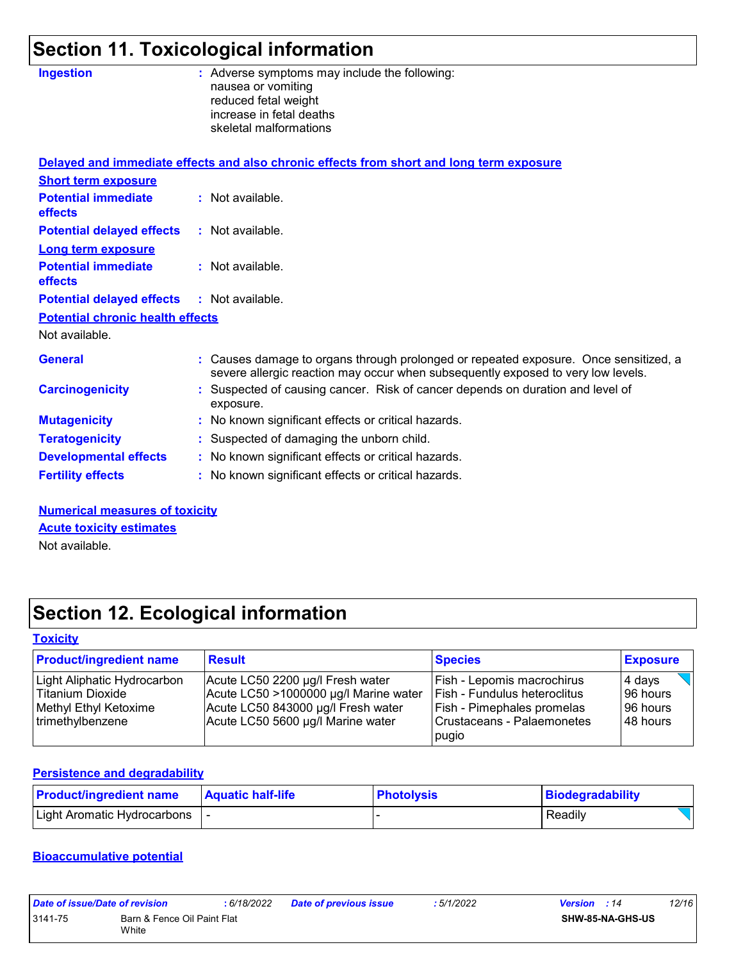## **Section 11. Toxicological information**

| <b>Ingestion</b>                             | : Adverse symptoms may include the following:                                                                                                                            |
|----------------------------------------------|--------------------------------------------------------------------------------------------------------------------------------------------------------------------------|
|                                              | nausea or vomiting<br>reduced fetal weight                                                                                                                               |
|                                              | increase in fetal deaths                                                                                                                                                 |
|                                              | skeletal malformations                                                                                                                                                   |
|                                              |                                                                                                                                                                          |
|                                              | Delayed and immediate effects and also chronic effects from short and long term exposure                                                                                 |
| <b>Short term exposure</b>                   |                                                                                                                                                                          |
| <b>Potential immediate</b>                   | : Not available.                                                                                                                                                         |
| <b>effects</b>                               |                                                                                                                                                                          |
| <b>Potential delayed effects</b>             | $:$ Not available.                                                                                                                                                       |
| <b>Long term exposure</b>                    |                                                                                                                                                                          |
| <b>Potential immediate</b>                   | : Not available.                                                                                                                                                         |
| effects                                      |                                                                                                                                                                          |
| <b>Potential delayed effects</b>             | : Not available.                                                                                                                                                         |
| <b>Potential chronic health effects</b>      |                                                                                                                                                                          |
| Not available.                               |                                                                                                                                                                          |
| <b>General</b>                               | : Causes damage to organs through prolonged or repeated exposure. Once sensitized, a<br>severe allergic reaction may occur when subsequently exposed to very low levels. |
| <b>Carcinogenicity</b>                       | : Suspected of causing cancer. Risk of cancer depends on duration and level of<br>exposure.                                                                              |
|                                              | : No known significant effects or critical hazards.                                                                                                                      |
|                                              | : Suspected of damaging the unborn child.                                                                                                                                |
| <b>Developmental effects</b>                 | : No known significant effects or critical hazards.                                                                                                                      |
| <b>Fertility effects</b>                     | : No known significant effects or critical hazards.                                                                                                                      |
| <b>Mutagenicity</b><br><b>Teratogenicity</b> |                                                                                                                                                                          |

#### **Numerical measures of toxicity Acute toxicity estimates**

Not available.

### **Section 12. Ecological information**

#### **Toxicity**

| <b>Product/ingredient name</b> | <b>Result</b>                         | <b>Species</b>                    | <b>Exposure</b> |
|--------------------------------|---------------------------------------|-----------------------------------|-----------------|
| Light Aliphatic Hydrocarbon    | Acute LC50 2200 µg/l Fresh water      | Fish - Lepomis macrochirus        | 4 days          |
| Titanium Dioxide               | Acute LC50 >1000000 µg/l Marine water | l Fish - Fundulus heteroclitus    | 196 hours       |
| Methyl Ethyl Ketoxime          | Acute LC50 843000 µg/l Fresh water    | <b>Fish - Pimephales promelas</b> | 196 hours       |
| trimethylbenzene               | Acute LC50 5600 µg/l Marine water     | Crustaceans - Palaemonetes        | 148 hours       |
|                                |                                       | pugio                             |                 |

#### **Persistence and degradability**

| <b>Product/ingredient name</b> | <b>Aquatic half-life</b> | <b>Photolysis</b> | Biodegradability |
|--------------------------------|--------------------------|-------------------|------------------|
| Light Aromatic Hydrocarbons    |                          |                   | Readily          |

#### **Bioaccumulative potential**

| Date of issue/Date of revision |                                      | 6/18/2022 | <b>Date of previous issue</b> | : 5/1/2022 | <b>Version</b> : 14 |                  | 12/16 |
|--------------------------------|--------------------------------------|-----------|-------------------------------|------------|---------------------|------------------|-------|
| 3141-75                        | Barn & Fence Oil Paint Flat<br>White |           |                               |            |                     | SHW-85-NA-GHS-US |       |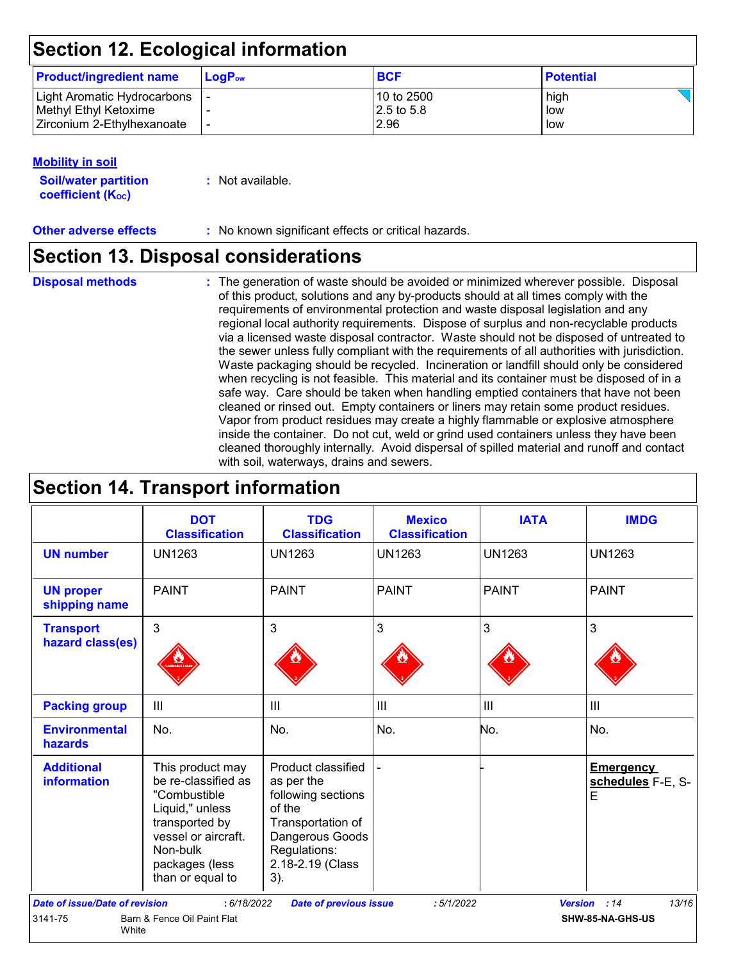### **Section 12. Ecological information**

| <b>Product/ingredient name</b> | $LoaPow$ | <b>BCF</b>   | <b>Potential</b> |
|--------------------------------|----------|--------------|------------------|
| Light Aromatic Hydrocarbons    |          | l 10 to 2500 | high             |
| Methyl Ethyl Ketoxime          |          | 2.5 to 5.8   | low              |
| Zirconium 2-Ethylhexanoate     |          | 2.96         | low              |

#### **Mobility in soil**

| <b>Soil/water partition</b> | : Not available. |
|-----------------------------|------------------|
| <b>coefficient (Koc)</b>    |                  |

**Other adverse effects :** No known significant effects or critical hazards.

### **Section 13. Disposal considerations**

**Disposal methods :**

The generation of waste should be avoided or minimized wherever possible. Disposal of this product, solutions and any by-products should at all times comply with the requirements of environmental protection and waste disposal legislation and any regional local authority requirements. Dispose of surplus and non-recyclable products via a licensed waste disposal contractor. Waste should not be disposed of untreated to the sewer unless fully compliant with the requirements of all authorities with jurisdiction. Waste packaging should be recycled. Incineration or landfill should only be considered when recycling is not feasible. This material and its container must be disposed of in a safe way. Care should be taken when handling emptied containers that have not been cleaned or rinsed out. Empty containers or liners may retain some product residues. Vapor from product residues may create a highly flammable or explosive atmosphere inside the container. Do not cut, weld or grind used containers unless they have been cleaned thoroughly internally. Avoid dispersal of spilled material and runoff and contact with soil, waterways, drains and sewers.

### **Section 14. Transport information**

|                                         | <b>DOT</b><br><b>Classification</b>                                                                                                                                   | <b>TDG</b><br><b>Classification</b>                                                                                                                 | <b>Mexico</b><br><b>Classification</b> | <b>IATA</b>    | <b>IMDG</b>                                |
|-----------------------------------------|-----------------------------------------------------------------------------------------------------------------------------------------------------------------------|-----------------------------------------------------------------------------------------------------------------------------------------------------|----------------------------------------|----------------|--------------------------------------------|
| <b>UN number</b>                        | <b>UN1263</b>                                                                                                                                                         | <b>UN1263</b>                                                                                                                                       | <b>UN1263</b>                          | <b>UN1263</b>  | <b>UN1263</b>                              |
| <b>UN proper</b><br>shipping name       | <b>PAINT</b>                                                                                                                                                          | <b>PAINT</b>                                                                                                                                        | <b>PAINT</b>                           | <b>PAINT</b>   | <b>PAINT</b>                               |
| <b>Transport</b><br>hazard class(es)    | 3                                                                                                                                                                     | 3                                                                                                                                                   | 3                                      | 3              | 3                                          |
| <b>Packing group</b>                    | III                                                                                                                                                                   | III                                                                                                                                                 | III                                    | $\mathbf{III}$ | III                                        |
| <b>Environmental</b><br>hazards         | No.                                                                                                                                                                   | No.                                                                                                                                                 | No.                                    | No.            | No.                                        |
| <b>Additional</b><br><b>information</b> | This product may<br>be re-classified as<br>"Combustible<br>Liquid," unless<br>transported by<br>vessel or aircraft.<br>Non-bulk<br>packages (less<br>than or equal to | Product classified<br>as per the<br>following sections<br>of the<br>Transportation of<br>Dangerous Goods<br>Regulations:<br>2.18-2.19 (Class<br>3). |                                        |                | <b>Emergency</b><br>schedules F-E, S-<br>E |
| <b>Date of issue/Date of revision</b>   | : 6/18/2022                                                                                                                                                           | <b>Date of previous issue</b>                                                                                                                       | :5/1/2022                              |                | 13/16<br>Version : 14                      |
| 3141-75<br>White                        | Barn & Fence Oil Paint Flat                                                                                                                                           |                                                                                                                                                     |                                        |                | SHW-85-NA-GHS-US                           |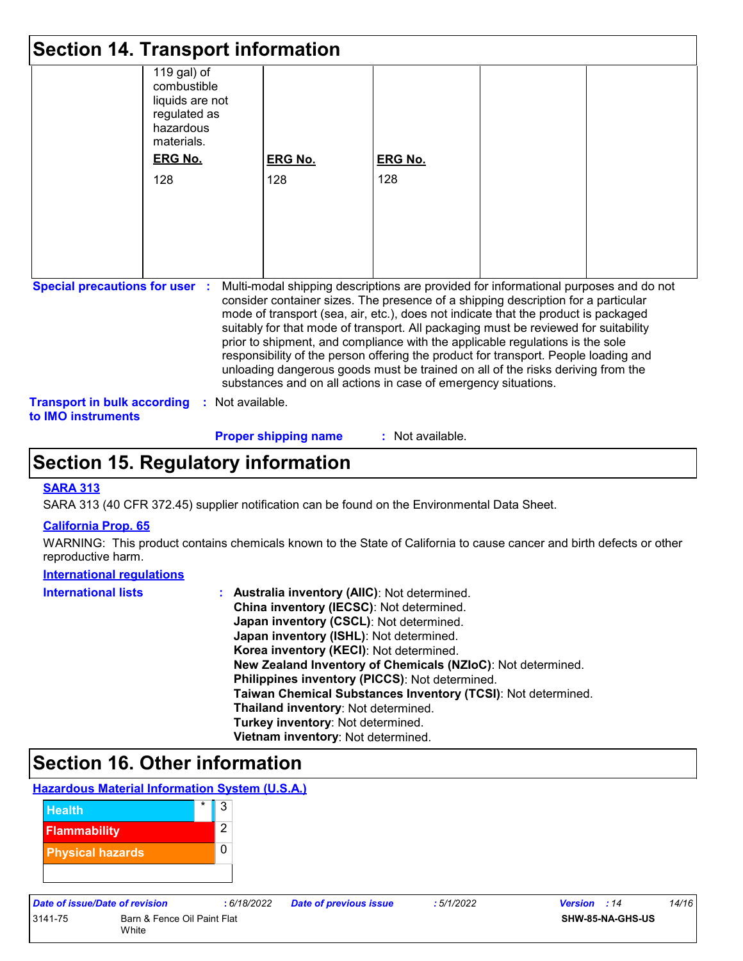|                                                          | <b>Section 14. Transport information</b>                                                 |                                                                                                                                                                                                                                                                                                                                                                                                                                                                                                                                                                                                                                                                                     |                |  |  |
|----------------------------------------------------------|------------------------------------------------------------------------------------------|-------------------------------------------------------------------------------------------------------------------------------------------------------------------------------------------------------------------------------------------------------------------------------------------------------------------------------------------------------------------------------------------------------------------------------------------------------------------------------------------------------------------------------------------------------------------------------------------------------------------------------------------------------------------------------------|----------------|--|--|
|                                                          | 119 gal) of<br>combustible<br>liquids are not<br>regulated as<br>hazardous<br>materials. |                                                                                                                                                                                                                                                                                                                                                                                                                                                                                                                                                                                                                                                                                     |                |  |  |
|                                                          | <b>ERG No.</b>                                                                           | <b>ERG No.</b>                                                                                                                                                                                                                                                                                                                                                                                                                                                                                                                                                                                                                                                                      | <b>ERG No.</b> |  |  |
|                                                          | 128                                                                                      | 128                                                                                                                                                                                                                                                                                                                                                                                                                                                                                                                                                                                                                                                                                 | 128            |  |  |
|                                                          |                                                                                          |                                                                                                                                                                                                                                                                                                                                                                                                                                                                                                                                                                                                                                                                                     |                |  |  |
|                                                          |                                                                                          |                                                                                                                                                                                                                                                                                                                                                                                                                                                                                                                                                                                                                                                                                     |                |  |  |
|                                                          |                                                                                          |                                                                                                                                                                                                                                                                                                                                                                                                                                                                                                                                                                                                                                                                                     |                |  |  |
|                                                          |                                                                                          |                                                                                                                                                                                                                                                                                                                                                                                                                                                                                                                                                                                                                                                                                     |                |  |  |
|                                                          |                                                                                          |                                                                                                                                                                                                                                                                                                                                                                                                                                                                                                                                                                                                                                                                                     |                |  |  |
| <b>Special precautions for user :</b>                    |                                                                                          | Multi-modal shipping descriptions are provided for informational purposes and do not<br>consider container sizes. The presence of a shipping description for a particular<br>mode of transport (sea, air, etc.), does not indicate that the product is packaged<br>suitably for that mode of transport. All packaging must be reviewed for suitability<br>prior to shipment, and compliance with the applicable regulations is the sole<br>responsibility of the person offering the product for transport. People loading and<br>unloading dangerous goods must be trained on all of the risks deriving from the<br>substances and on all actions in case of emergency situations. |                |  |  |
| <b>Transport in bulk according</b><br>to IMO instruments | : Not available.                                                                         |                                                                                                                                                                                                                                                                                                                                                                                                                                                                                                                                                                                                                                                                                     |                |  |  |

#### **Proper shipping name :**

: Not available.

### **Section 15. Regulatory information**

#### **SARA 313**

SARA 313 (40 CFR 372.45) supplier notification can be found on the Environmental Data Sheet.

#### **California Prop. 65**

WARNING: This product contains chemicals known to the State of California to cause cancer and birth defects or other reproductive harm.

#### **International regulations**

| <b>International lists</b> | : Australia inventory (AIIC): Not determined.                |
|----------------------------|--------------------------------------------------------------|
|                            | China inventory (IECSC): Not determined.                     |
|                            | Japan inventory (CSCL): Not determined.                      |
|                            | Japan inventory (ISHL): Not determined.                      |
|                            | Korea inventory (KECI): Not determined.                      |
|                            | New Zealand Inventory of Chemicals (NZIoC): Not determined.  |
|                            | Philippines inventory (PICCS): Not determined.               |
|                            | Taiwan Chemical Substances Inventory (TCSI): Not determined. |
|                            | Thailand inventory: Not determined.                          |
|                            | Turkey inventory: Not determined.                            |
|                            | Vietnam inventory: Not determined.                           |

### **Section 16. Other information**

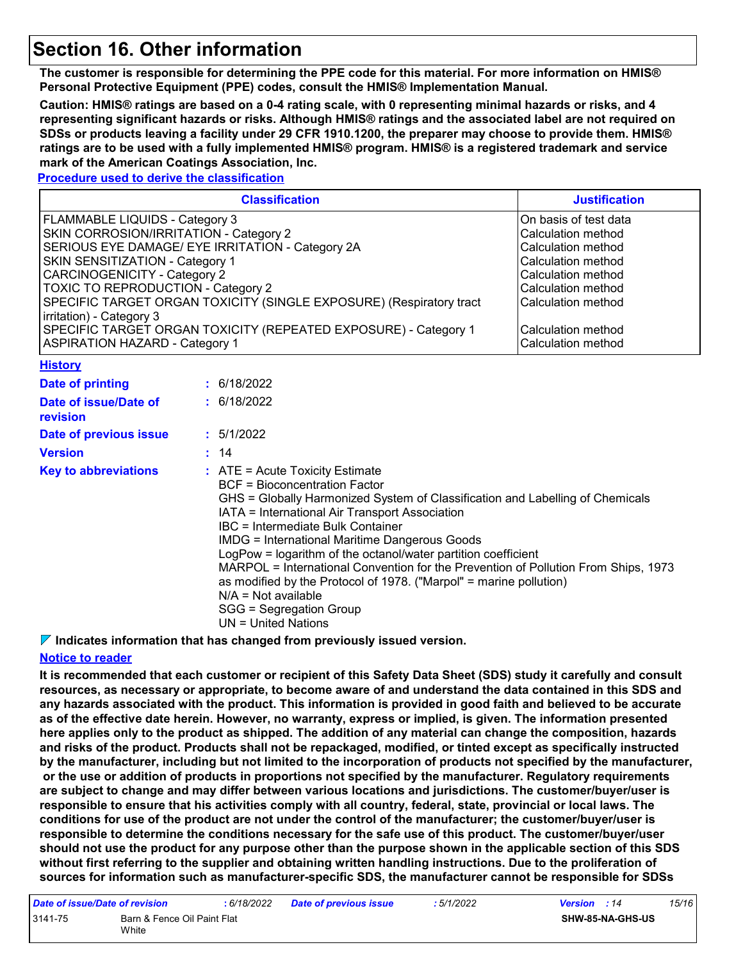### **Section 16. Other information**

**The customer is responsible for determining the PPE code for this material. For more information on HMIS® Personal Protective Equipment (PPE) codes, consult the HMIS® Implementation Manual.**

**Caution: HMIS® ratings are based on a 0-4 rating scale, with 0 representing minimal hazards or risks, and 4 representing significant hazards or risks. Although HMIS® ratings and the associated label are not required on SDSs or products leaving a facility under 29 CFR 1910.1200, the preparer may choose to provide them. HMIS® ratings are to be used with a fully implemented HMIS® program. HMIS® is a registered trademark and service mark of the American Coatings Association, Inc.**

#### **Procedure used to derive the classification**

| <b>Classification</b>                                               | <b>Justification</b>  |
|---------------------------------------------------------------------|-----------------------|
| FLAMMABLE LIQUIDS - Category 3                                      | On basis of test data |
| SKIN CORROSION/IRRITATION - Category 2                              | Calculation method    |
| SERIOUS EYE DAMAGE/ EYE IRRITATION - Category 2A                    | Calculation method    |
| SKIN SENSITIZATION - Category 1                                     | Calculation method    |
| CARCINOGENICITY - Category 2                                        | Calculation method    |
| TOXIC TO REPRODUCTION - Category 2                                  | Calculation method    |
| SPECIFIC TARGET ORGAN TOXICITY (SINGLE EXPOSURE) (Respiratory tract | Calculation method    |
| irritation) - Category 3                                            |                       |
| SPECIFIC TARGET ORGAN TOXICITY (REPEATED EXPOSURE) - Category 1     | Calculation method    |
| <b>ASPIRATION HAZARD - Category 1</b>                               | Calculation method    |
| <b>History</b>                                                      |                       |

| __________                        |                                                                                                                                                                                                                                                                                                                                                                                                                                                                                                                                                                                                                |
|-----------------------------------|----------------------------------------------------------------------------------------------------------------------------------------------------------------------------------------------------------------------------------------------------------------------------------------------------------------------------------------------------------------------------------------------------------------------------------------------------------------------------------------------------------------------------------------------------------------------------------------------------------------|
| Date of printing                  | : 6/18/2022                                                                                                                                                                                                                                                                                                                                                                                                                                                                                                                                                                                                    |
| Date of issue/Date of<br>revision | : 6/18/2022                                                                                                                                                                                                                                                                                                                                                                                                                                                                                                                                                                                                    |
| Date of previous issue            | : 5/1/2022                                                                                                                                                                                                                                                                                                                                                                                                                                                                                                                                                                                                     |
| <b>Version</b>                    | : 14                                                                                                                                                                                                                                                                                                                                                                                                                                                                                                                                                                                                           |
| <b>Key to abbreviations</b>       | $\therefore$ ATE = Acute Toxicity Estimate<br>BCF = Bioconcentration Factor<br>GHS = Globally Harmonized System of Classification and Labelling of Chemicals<br>IATA = International Air Transport Association<br>IBC = Intermediate Bulk Container<br>IMDG = International Maritime Dangerous Goods<br>LogPow = logarithm of the octanol/water partition coefficient<br>MARPOL = International Convention for the Prevention of Pollution From Ships, 1973<br>as modified by the Protocol of 1978. ("Marpol" = marine pollution)<br>$N/A = Not available$<br>SGG = Segregation Group<br>$UN = United Nations$ |

**Indicates information that has changed from previously issued version.**

#### **Notice to reader**

**It is recommended that each customer or recipient of this Safety Data Sheet (SDS) study it carefully and consult resources, as necessary or appropriate, to become aware of and understand the data contained in this SDS and any hazards associated with the product. This information is provided in good faith and believed to be accurate as of the effective date herein. However, no warranty, express or implied, is given. The information presented here applies only to the product as shipped. The addition of any material can change the composition, hazards and risks of the product. Products shall not be repackaged, modified, or tinted except as specifically instructed by the manufacturer, including but not limited to the incorporation of products not specified by the manufacturer, or the use or addition of products in proportions not specified by the manufacturer. Regulatory requirements are subject to change and may differ between various locations and jurisdictions. The customer/buyer/user is responsible to ensure that his activities comply with all country, federal, state, provincial or local laws. The conditions for use of the product are not under the control of the manufacturer; the customer/buyer/user is responsible to determine the conditions necessary for the safe use of this product. The customer/buyer/user should not use the product for any purpose other than the purpose shown in the applicable section of this SDS without first referring to the supplier and obtaining written handling instructions. Due to the proliferation of sources for information such as manufacturer-specific SDS, the manufacturer cannot be responsible for SDSs** 

| Date of issue/Date of revision |                                      | : 6/18/2022 | <b>Date of previous issue</b> | : 5/1/2022 | <b>Version</b> : 14 |                         | 15/16 |
|--------------------------------|--------------------------------------|-------------|-------------------------------|------------|---------------------|-------------------------|-------|
| 3141-75                        | Barn & Fence Oil Paint Flat<br>White |             |                               |            |                     | <b>SHW-85-NA-GHS-US</b> |       |